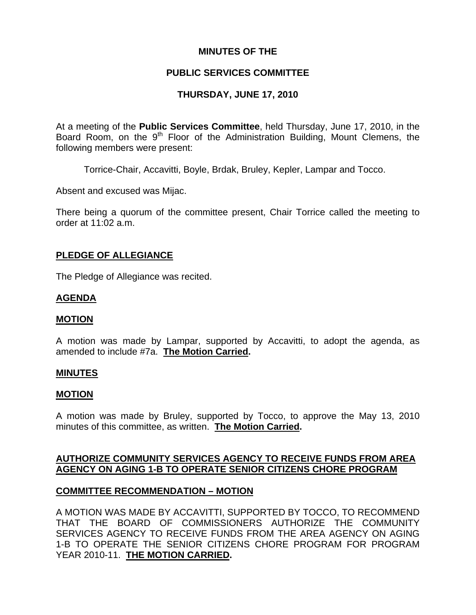# **MINUTES OF THE**

# **PUBLIC SERVICES COMMITTEE**

# **THURSDAY, JUNE 17, 2010**

At a meeting of the **Public Services Committee**, held Thursday, June 17, 2010, in the Board Room, on the 9<sup>th</sup> Floor of the Administration Building, Mount Clemens, the following members were present:

Torrice-Chair, Accavitti, Boyle, Brdak, Bruley, Kepler, Lampar and Tocco.

Absent and excused was Mijac.

There being a quorum of the committee present, Chair Torrice called the meeting to order at 11:02 a.m.

# **PLEDGE OF ALLEGIANCE**

The Pledge of Allegiance was recited.

# **AGENDA**

### **MOTION**

A motion was made by Lampar, supported by Accavitti, to adopt the agenda, as amended to include #7a. **The Motion Carried.** 

### **MINUTES**

### **MOTION**

A motion was made by Bruley, supported by Tocco, to approve the May 13, 2010 minutes of this committee, as written. **The Motion Carried.** 

# **AUTHORIZE COMMUNITY SERVICES AGENCY TO RECEIVE FUNDS FROM AREA AGENCY ON AGING 1-B TO OPERATE SENIOR CITIZENS CHORE PROGRAM**

### **COMMITTEE RECOMMENDATION – MOTION**

A MOTION WAS MADE BY ACCAVITTI, SUPPORTED BY TOCCO, TO RECOMMEND THAT THE BOARD OF COMMISSIONERS AUTHORIZE THE COMMUNITY SERVICES AGENCY TO RECEIVE FUNDS FROM THE AREA AGENCY ON AGING 1-B TO OPERATE THE SENIOR CITIZENS CHORE PROGRAM FOR PROGRAM YEAR 2010-11. **THE MOTION CARRIED.**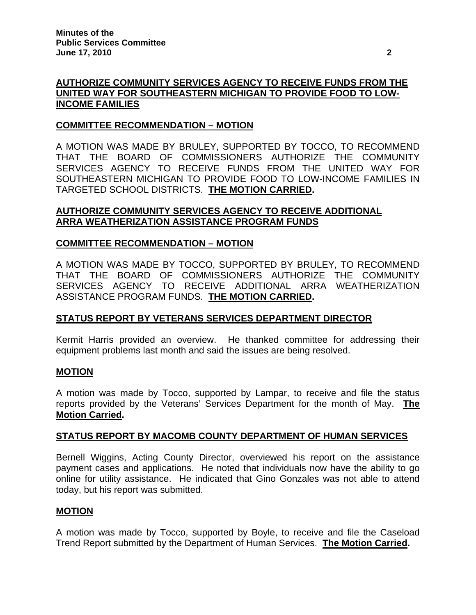# **AUTHORIZE COMMUNITY SERVICES AGENCY TO RECEIVE FUNDS FROM THE UNITED WAY FOR SOUTHEASTERN MICHIGAN TO PROVIDE FOOD TO LOW-INCOME FAMILIES**

# **COMMITTEE RECOMMENDATION – MOTION**

A MOTION WAS MADE BY BRULEY, SUPPORTED BY TOCCO, TO RECOMMEND THAT THE BOARD OF COMMISSIONERS AUTHORIZE THE COMMUNITY SERVICES AGENCY TO RECEIVE FUNDS FROM THE UNITED WAY FOR SOUTHEASTERN MICHIGAN TO PROVIDE FOOD TO LOW-INCOME FAMILIES IN TARGETED SCHOOL DISTRICTS. **THE MOTION CARRIED.** 

# **AUTHORIZE COMMUNITY SERVICES AGENCY TO RECEIVE ADDITIONAL ARRA WEATHERIZATION ASSISTANCE PROGRAM FUNDS**

# **COMMITTEE RECOMMENDATION – MOTION**

A MOTION WAS MADE BY TOCCO, SUPPORTED BY BRULEY, TO RECOMMEND THAT THE BOARD OF COMMISSIONERS AUTHORIZE THE COMMUNITY SERVICES AGENCY TO RECEIVE ADDITIONAL ARRA WEATHERIZATION ASSISTANCE PROGRAM FUNDS. **THE MOTION CARRIED.** 

# **STATUS REPORT BY VETERANS SERVICES DEPARTMENT DIRECTOR**

Kermit Harris provided an overview. He thanked committee for addressing their equipment problems last month and said the issues are being resolved.

### **MOTION**

A motion was made by Tocco, supported by Lampar, to receive and file the status reports provided by the Veterans' Services Department for the month of May. **The Motion Carried.** 

### **STATUS REPORT BY MACOMB COUNTY DEPARTMENT OF HUMAN SERVICES**

Bernell Wiggins, Acting County Director, overviewed his report on the assistance payment cases and applications. He noted that individuals now have the ability to go online for utility assistance. He indicated that Gino Gonzales was not able to attend today, but his report was submitted.

### **MOTION**

A motion was made by Tocco, supported by Boyle, to receive and file the Caseload Trend Report submitted by the Department of Human Services. **The Motion Carried.**